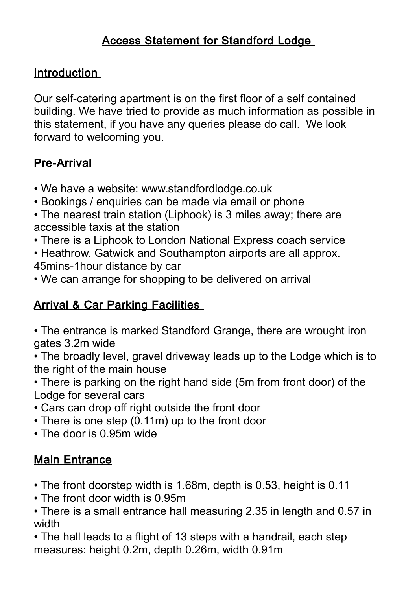# Access Statement for Standford Lodge

### Introduction

Our self-catering apartment is on the first floor of a self contained building. We have tried to provide as much information as possible in this statement, if you have any queries please do call. We look forward to welcoming you.

## Pre-Arrival

- We have a website: www.standfordlodge.co.uk
- Bookings / enquiries can be made via email or phone
- The nearest train station (Liphook) is 3 miles away; there are accessible taxis at the station
- There is a Liphook to London National Express coach service
- Heathrow, Gatwick and Southampton airports are all approx. 45mins-1hour distance by car
- We can arrange for shopping to be delivered on arrival

# **Arrival & Car Parking Facilities**

- The entrance is marked Standford Grange, there are wrought iron gates 3.2m wide
- The broadly level, gravel driveway leads up to the Lodge which is to the right of the main house
- There is parking on the right hand side (5m from front door) of the Lodge for several cars
- Cars can drop off right outside the front door
- There is one step (0.11m) up to the front door
- The door is 0.95m wide

## Main Entrance

- The front doorstep width is 1.68m, depth is 0.53, height is 0.11
- The front door width is 0.95m
- There is a small entrance hall measuring 2.35 in length and 0.57 in width

• The hall leads to a flight of 13 steps with a handrail, each step measures: height 0.2m, depth 0.26m, width 0.91m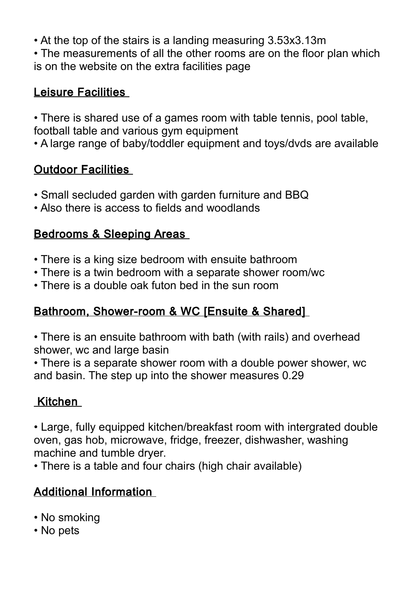• At the top of the stairs is a landing measuring 3.53x3.13m

• The measurements of all the other rooms are on the floor plan which is on the website on the extra facilities page

## Leisure Facilities

• There is shared use of a games room with table tennis, pool table, football table and various gym equipment

• A large range of baby/toddler equipment and toys/dvds are available

# Outdoor Facilities

- Small secluded garden with garden furniture and BBQ
- Also there is access to fields and woodlands

## Bedrooms & Sleeping Areas

- There is a king size bedroom with ensuite bathroom
- There is a twin bedroom with a separate shower room/wc
- There is a double oak futon bed in the sun room

# Bathroom, Shower-room & WC [Ensuite & Shared]

• There is an ensuite bathroom with bath (with rails) and overhead shower, wc and large basin

• There is a separate shower room with a double power shower, wc and basin. The step up into the shower measures 0.29

# Kitchen

• Large, fully equipped kitchen/breakfast room with intergrated double oven, gas hob, microwave, fridge, freezer, dishwasher, washing machine and tumble dryer.

• There is a table and four chairs (high chair available)

# Additional Information

- No smoking
- No pets